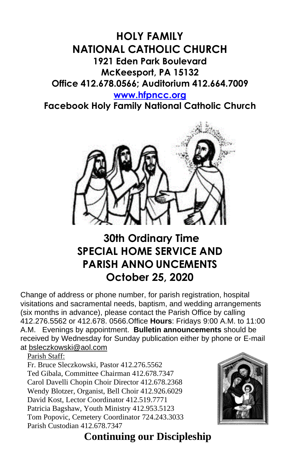# **HOLY FAMILY NATIONAL CATHOLIC CHURCH 1921 Eden Park Boulevard McKeesport, PA 15132 Office 412.678.0566; Auditorium 412.664.7009**

### **[www.hfpncc.org](http://www.hfpncc.org/)**

**Facebook Holy Family National Catholic Church**



# **30th Ordinary Time SPECIAL HOME SERVICE AND PARISH ANNO UNCEMENTS October 25, 2020**

Change of address or phone number, for parish registration, hospital visitations and sacramental needs, baptism, and wedding arrangements (six months in advance), please contact the Parish Office by calling 412.276.5562 or 412.678. 0566.Office **Hours**: Fridays 9:00 A.M. to 11:00 A.M. Evenings by appointment. **Bulletin announcements** should be received by Wednesday for Sunday publication either by phone or E-mail at [bsleczkowski@aol.com](mailto:bsleczkowski@aol.com)

Parish Staff:

Fr. Bruce Sleczkowski, Pastor 412.276.5562 Ted Gibala, Committee Chairman 412.678.7347 Carol Davelli Chopin Choir Director 412.678.2368 Wendy Blotzer, Organist, Bell Choir 412.926.6029 David Kost, Lector Coordinator 412.519.7771 Patricia Bagshaw, Youth Ministry 412.953.5123 Tom Popovic, Cemetery Coordinator 724.243.3033 Parish Custodian 412.678.7347



# **Continuing our Discipleship**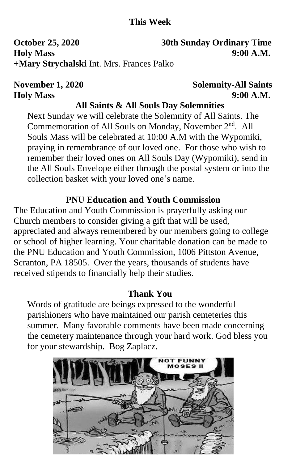# **This Week**

**October 25, 2020 30th Sunday Ordinary Time Holy Mass 9:00 A.M. +Mary Strychalski** Int. Mrs. Frances Palko

# **November 1, 2020** Solemnity-All Saints **Holy Mass 9:00 A.M.**

## **All Saints & All Souls Day Solemnities**

Next Sunday we will celebrate the Solemnity of All Saints. The Commemoration of All Souls on Monday, November 2<sup>nd</sup>. All Souls Mass will be celebrated at 10:00 A.M with the Wypomiki, praying in remembrance of our loved one. For those who wish to remember their loved ones on All Souls Day (Wypomiki), send in the All Souls Envelope either through the postal system or into the collection basket with your loved one's name.

# **PNU Education and Youth Commission**

The Education and Youth Commission is prayerfully asking our Church members to consider giving a gift that will be used, appreciated and always remembered by our members going to college or school of higher learning. Your charitable donation can be made to the PNU Education and Youth Commission, 1006 Pittston Avenue, Scranton, PA 18505. Over the years, thousands of students have received stipends to financially help their studies.

## **Thank You**

Words of gratitude are beings expressed to the wonderful parishioners who have maintained our parish cemeteries this summer. Many favorable comments have been made concerning the cemetery maintenance through your hard work. God bless you for your stewardship. Bog Zaplacz.